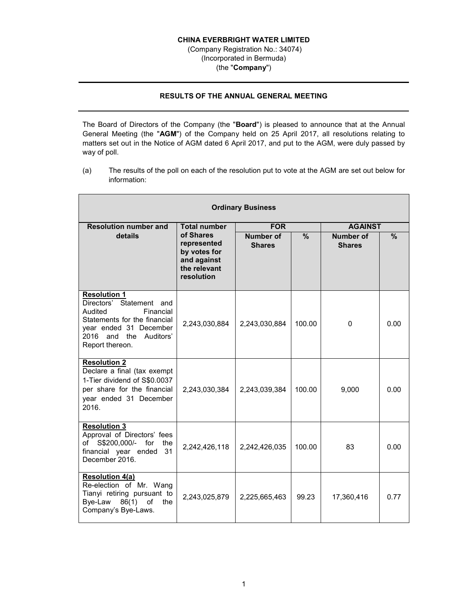## **CHINA EVERBRIGHT WATER LIMITED**

 (Company Registration No.: 34074) (Incorporated in Bermuda) (the "**Company**")

## **RESULTS OF THE ANNUAL GENERAL MEETING**

The Board of Directors of the Company (the "**Board**") is pleased to announce that at the Annual General Meeting (the "**AGM**") of the Company held on 25 April 2017, all resolutions relating to matters set out in the Notice of AGM dated 6 April 2017, and put to the AGM, were duly passed by way of poll.

(a) The results of the poll on each of the resolution put to vote at the AGM are set out below for information:

| <b>Ordinary Business</b>                                                                                                                                                                |                                                                                       |                                   |               |                            |               |  |  |  |
|-----------------------------------------------------------------------------------------------------------------------------------------------------------------------------------------|---------------------------------------------------------------------------------------|-----------------------------------|---------------|----------------------------|---------------|--|--|--|
| <b>Resolution number and</b>                                                                                                                                                            | <b>Total number</b>                                                                   | <b>FOR</b>                        |               | <b>AGAINST</b>             |               |  |  |  |
| details                                                                                                                                                                                 | of Shares<br>represented<br>by votes for<br>and against<br>the relevant<br>resolution | <b>Number of</b><br><b>Shares</b> | $\frac{9}{6}$ | Number of<br><b>Shares</b> | $\frac{9}{6}$ |  |  |  |
| <b>Resolution 1</b><br>Directors' Statement and<br>Audited<br>Financial<br>Statements for the financial<br>vear ended 31 December<br>2016<br>and<br>the<br>Auditors'<br>Report thereon. | 2,243,030,884                                                                         | 2,243,030,884                     | 100.00        | 0                          | 0.00          |  |  |  |
| <b>Resolution 2</b><br>Declare a final (tax exempt<br>1-Tier dividend of S\$0.0037<br>per share for the financial<br>year ended 31 December<br>2016.                                    | 2,243,030,384                                                                         | 2,243,039,384                     | 100.00        | 9,000                      | 0.00          |  |  |  |
| <b>Resolution 3</b><br>Approval of Directors' fees<br>S\$200,000/- for<br>of<br>the<br>financial year ended<br>31<br>December 2016.                                                     | 2,242,426,118                                                                         | 2,242,426,035                     | 100.00        | 83                         | 0.00          |  |  |  |
| <b>Resolution 4(a)</b><br>Re-election of Mr. Wang<br>Tianyi retiring pursuant to<br>86(1)<br>Bye-Law<br>the<br>οf<br>Company's Bye-Laws.                                                | 2,243,025,879                                                                         | 2,225,665,463                     | 99.23         | 17,360,416                 | 0.77          |  |  |  |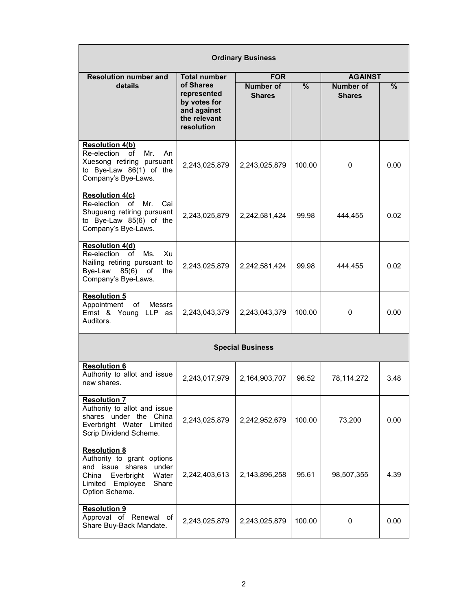| <b>Ordinary Business</b>                                                                                                                                      |                                                                                       |                                   |        |                                   |      |  |  |  |
|---------------------------------------------------------------------------------------------------------------------------------------------------------------|---------------------------------------------------------------------------------------|-----------------------------------|--------|-----------------------------------|------|--|--|--|
| <b>Resolution number and</b>                                                                                                                                  | <b>Total number</b>                                                                   | <b>FOR</b>                        |        | <b>AGAINST</b>                    |      |  |  |  |
| details                                                                                                                                                       | of Shares<br>represented<br>by votes for<br>and against<br>the relevant<br>resolution | <b>Number of</b><br><b>Shares</b> | $\%$   | <b>Number of</b><br><b>Shares</b> | %    |  |  |  |
| <b>Resolution 4(b)</b><br>Re-election<br>οf<br>Mr.<br>An<br>Xuesong retiring pursuant<br>to Bye-Law 86(1) of the<br>Company's Bye-Laws.                       | 2,243,025,879                                                                         | 2,243,025,879                     | 100.00 | 0                                 | 0.00 |  |  |  |
| <b>Resolution 4(c)</b><br>Re-election<br>of<br>Mr.<br>Cai<br>Shuguang retiring pursuant<br>to Bye-Law 85(6) of the<br>Company's Bye-Laws.                     | 2,243,025,879                                                                         | 2,242,581,424                     | 99.98  | 444,455                           | 0.02 |  |  |  |
| <b>Resolution 4(d)</b><br>Re-election<br>Ms.<br>of<br>Xu<br>Nailing retiring pursuant to<br>Bye-Law $85(6)$<br>of<br>the<br>Company's Bye-Laws.               | 2,243,025,879                                                                         | 2,242,581,424                     | 99.98  | 444,455                           | 0.02 |  |  |  |
| <b>Resolution 5</b><br>of<br><b>Messrs</b><br>Appointment<br>Ernst & Young LLP as<br>Auditors.                                                                | 2,243,043,379                                                                         | 2,243,043,379                     | 100.00 | 0                                 | 0.00 |  |  |  |
| <b>Special Business</b>                                                                                                                                       |                                                                                       |                                   |        |                                   |      |  |  |  |
| <b>Resolution 6</b><br>Authority to allot and issue<br>new shares.                                                                                            | 2,243,017,979                                                                         | 2,164,903,707                     | 96.52  | 78,114,272                        | 3.48 |  |  |  |
| <b>Resolution 7</b><br>Authority to allot and issue<br>shares under the China<br>Everbright Water Limited<br>Scrip Dividend Scheme.                           | 2,243,025,879                                                                         | 2,242,952,679                     | 100.00 | 73,200                            | 0.00 |  |  |  |
| <b>Resolution 8</b><br>Authority to grant options<br>and issue shares<br>under<br>Everbright<br>Water<br>China<br>Limited Employee<br>Share<br>Option Scheme. | 2,242,403,613                                                                         | 2,143,896,258                     | 95.61  | 98,507,355                        | 4.39 |  |  |  |
| <b>Resolution 9</b><br>Approval of Renewal of<br>Share Buy-Back Mandate.                                                                                      | 2,243,025,879                                                                         | 2,243,025,879                     | 100.00 | 0                                 | 0.00 |  |  |  |